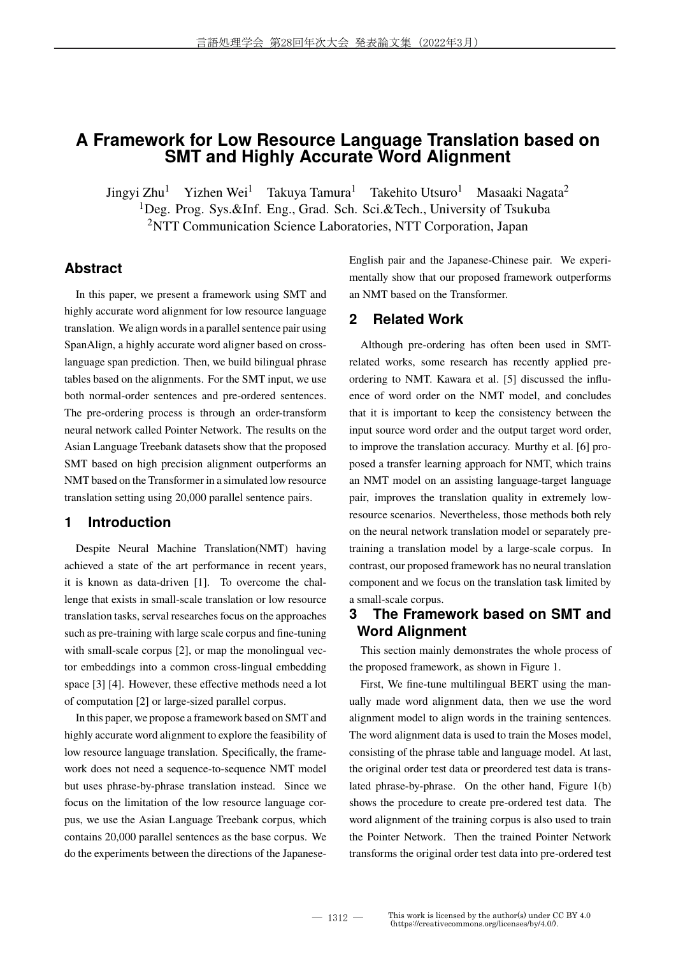# **A Framework for Low Resource Language Translation based on SMT and Highly Accurate Word Alignment**

Jingyi Zhu<sup>1</sup> Yizhen Wei<sup>1</sup> Takuya Tamura<sup>1</sup> Takehito Utsuro<sup>1</sup> Masaaki Nagata<sup>2</sup> <sup>1</sup>Deg. Prog. Sys.&Inf. Eng., Grad. Sch. Sci.&Tech., University of Tsukuba <sup>2</sup>NTT Communication Science Laboratories, NTT Corporation, Japan

## **Abstract**

In this paper, we present a framework using SMT and highly accurate word alignment for low resource language translation. We align words in a parallel sentence pair using SpanAlign, a highly accurate word aligner based on crosslanguage span prediction. Then, we build bilingual phrase tables based on the alignments. For the SMT input, we use both normal-order sentences and pre-ordered sentences. The pre-ordering process is through an order-transform neural network called Pointer Network. The results on the Asian Language Treebank datasets show that the proposed SMT based on high precision alignment outperforms an NMT based on the Transformer in a simulated low resource translation setting using 20,000 parallel sentence pairs.

## **1 Introduction**

Despite Neural Machine Translation(NMT) having achieved a state of the art performance in recent years, it is known as data-driven [1]. To overcome the challenge that exists in small-scale translation or low resource translation tasks, serval researches focus on the approaches such as pre-training with large scale corpus and fine-tuning with small-scale corpus [2], or map the monolingual vector embeddings into a common cross-lingual embedding space [3] [4]. However, these effective methods need a lot of computation [2] or large-sized parallel corpus.

In this paper, we propose a framework based on SMT and highly accurate word alignment to explore the feasibility of low resource language translation. Specifically, the framework does not need a sequence-to-sequence NMT model but uses phrase-by-phrase translation instead. Since we focus on the limitation of the low resource language corpus, we use the Asian Language Treebank corpus, which contains 20,000 parallel sentences as the base corpus. We do the experiments between the directions of the JapaneseEnglish pair and the Japanese-Chinese pair. We experimentally show that our proposed framework outperforms an NMT based on the Transformer.

## **2 Related Work**

Although pre-ordering has often been used in SMTrelated works, some research has recently applied preordering to NMT. Kawara et al. [5] discussed the influence of word order on the NMT model, and concludes that it is important to keep the consistency between the input source word order and the output target word order, to improve the translation accuracy. Murthy et al. [6] proposed a transfer learning approach for NMT, which trains an NMT model on an assisting language-target language pair, improves the translation quality in extremely lowresource scenarios. Nevertheless, those methods both rely on the neural network translation model or separately pretraining a translation model by a large-scale corpus. In contrast, our proposed framework has no neural translation component and we focus on the translation task limited by a small-scale corpus.

## **3 The Framework based on SMT and Word Alignment**

This section mainly demonstrates the whole process of the proposed framework, as shown in Figure 1.

First, We fine-tune multilingual BERT using the manually made word alignment data, then we use the word alignment model to align words in the training sentences. The word alignment data is used to train the Moses model, consisting of the phrase table and language model. At last, the original order test data or preordered test data is translated phrase-by-phrase. On the other hand, Figure 1(b) shows the procedure to create pre-ordered test data. The word alignment of the training corpus is also used to train the Pointer Network. Then the trained Pointer Network transforms the original order test data into pre-ordered test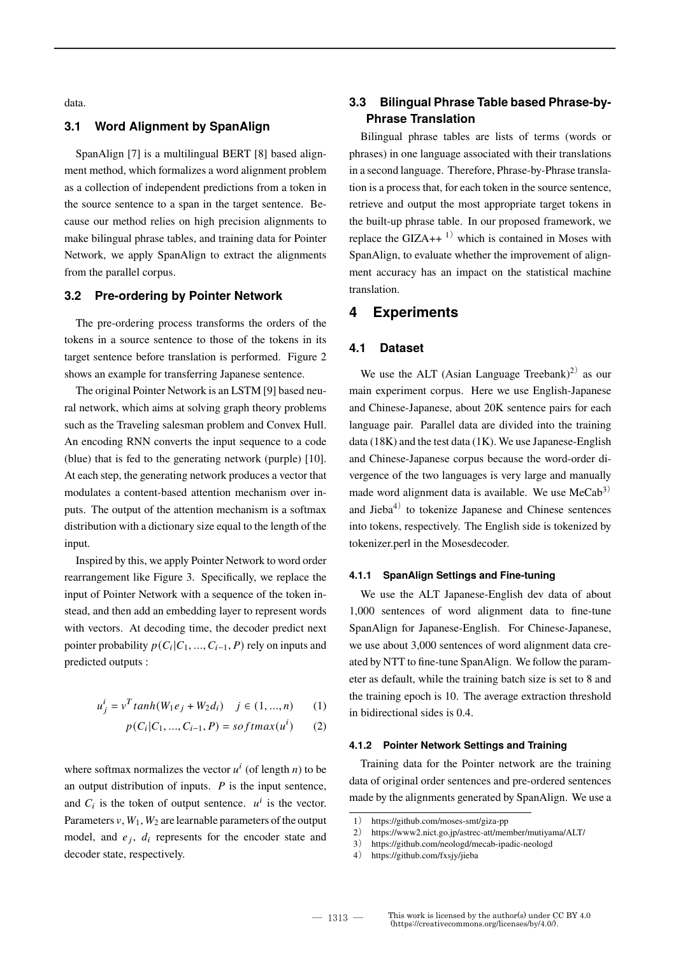data.

## **3.1 Word Alignment by SpanAlign**

SpanAlign [7] is a multilingual BERT [8] based alignment method, which formalizes a word alignment problem as a collection of independent predictions from a token in the source sentence to a span in the target sentence. Because our method relies on high precision alignments to make bilingual phrase tables, and training data for Pointer Network, we apply SpanAlign to extract the alignments from the parallel corpus.

#### **3.2 Pre-ordering by Pointer Network**

The pre-ordering process transforms the orders of the tokens in a source sentence to those of the tokens in its target sentence before translation is performed. Figure 2 shows an example for transferring Japanese sentence.

The original Pointer Network is an LSTM [9] based neural network, which aims at solving graph theory problems such as the Traveling salesman problem and Convex Hull. An encoding RNN converts the input sequence to a code (blue) that is fed to the generating network (purple) [10]. At each step, the generating network produces a vector that modulates a content-based attention mechanism over inputs. The output of the attention mechanism is a softmax distribution with a dictionary size equal to the length of the input.

Inspired by this, we apply Pointer Network to word order rearrangement like Figure 3. Specifically, we replace the input of Pointer Network with a sequence of the token instead, and then add an embedding layer to represent words with vectors. At decoding time, the decoder predict next pointer probability  $p(C_i|C_1, ..., C_{i-1}, P)$  rely on inputs and predicted outputs :

$$
u_j^i = v^T \tanh(W_1 e_j + W_2 d_i) \quad j \in (1, ..., n) \tag{1}
$$

$$
p(C_i|C_1,...,C_{i-1},P) = softmax(u^i)
$$
 (2)

where softmax normalizes the vector  $u^i$  (of length *n*) to be an output distribution of inputs.  $P$  is the input sentence, and  $C_i$  is the token of output sentence.  $u^i$  is the vector. Parameters  $v, W_1, W_2$  are learnable parameters of the output model, and  $e_j$ ,  $d_i$  represents for the encoder state and decoder state, respectively.

## **3.3 Bilingual Phrase Table based Phrase-by-Phrase Translation**

Bilingual phrase tables are lists of terms (words or phrases) in one language associated with their translations in a second language. Therefore, Phrase-by-Phrase translation is a process that, for each token in the source sentence, retrieve and output the most appropriate target tokens in the built-up phrase table. In our proposed framework, we replace the GIZA++ $1)$  which is contained in Moses with SpanAlign, to evaluate whether the improvement of alignment accuracy has an impact on the statistical machine translation.

## **4 Experiments**

#### **4.1 Dataset**

We use the ALT (Asian Language Treebank)<sup>2)</sup> as our main experiment corpus. Here we use English-Japanese and Chinese-Japanese, about 20K sentence pairs for each language pair. Parallel data are divided into the training data (18K) and the test data (1K). We use Japanese-English and Chinese-Japanese corpus because the word-order divergence of the two languages is very large and manually made word alignment data is available. We use  $MeCab<sup>3</sup>$ and  $Jieba<sup>4</sup>$  to tokenize Japanese and Chinese sentences into tokens, respectively. The English side is tokenized by tokenizer.perl in the Mosesdecoder.

#### **4.1.1 SpanAlign Settings and Fine-tuning**

We use the ALT Japanese-English dev data of about 1,000 sentences of word alignment data to fine-tune SpanAlign for Japanese-English. For Chinese-Japanese, we use about 3,000 sentences of word alignment data created by NTT to fine-tune SpanAlign. We follow the parameter as default, while the training batch size is set to 8 and the training epoch is 10. The average extraction threshold in bidirectional sides is 0.4.

#### **4.1.2 Pointer Network Settings and Training**

Training data for the Pointer network are the training data of original order sentences and pre-ordered sentences made by the alignments generated by SpanAlign. We use a

<sup>1</sup>) https://github.com/moses-smt/giza-pp

<sup>2</sup>) https://www2.nict.go.jp/astrec-att/member/mutiyama/ALT/

<sup>3</sup>) https://github.com/neologd/mecab-ipadic-neologd

<sup>4</sup>) https://github.com/fxsjy/jieba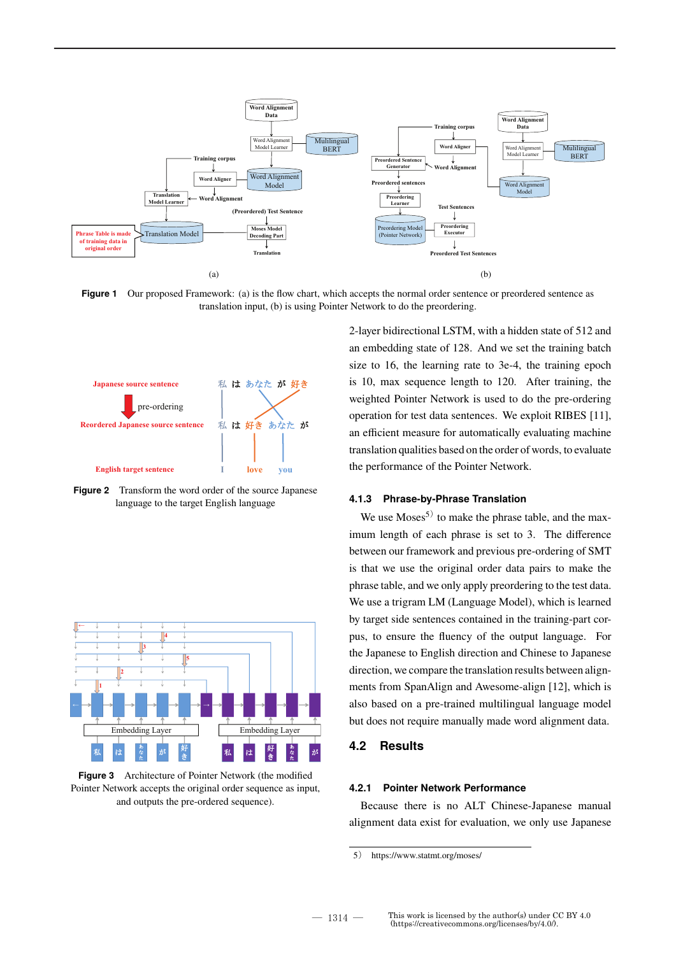

**Figure 1** Our proposed Framework: (a) is the flow chart, which accepts the normal order sentence or preordered sentence as translation input, (b) is using Pointer Network to do the preordering.



**Figure 2** Transform the word order of the source Japanese language to the target English language



**Figure 3** Architecture of Pointer Network (the modified Pointer Network accepts the original order sequence as input, and outputs the pre-ordered sequence).

2-layer bidirectional LSTM, with a hidden state of 512 and an embedding state of 128. And we set the training batch size to 16, the learning rate to 3e-4, the training epoch is 10, max sequence length to 120. After training, the weighted Pointer Network is used to do the pre-ordering operation for test data sentences. We exploit RIBES [11], an efficient measure for automatically evaluating machine translation qualities based on the order of words, to evaluate the performance of the Pointer Network.

### **4.1.3 Phrase-by-Phrase Translation**

We use  $Moses^{5}$  to make the phrase table, and the maximum length of each phrase is set to 3. The difference between our framework and previous pre-ordering of SMT is that we use the original order data pairs to make the phrase table, and we only apply preordering to the test data. We use a trigram LM (Language Model), which is learned by target side sentences contained in the training-part corpus, to ensure the fluency of the output language. For the Japanese to English direction and Chinese to Japanese direction, we compare the translation results between alignments from SpanAlign and Awesome-align [12], which is also based on a pre-trained multilingual language model but does not require manually made word alignment data.

#### **4.2 Results**

#### **4.2.1 Pointer Network Performance**

Because there is no ALT Chinese-Japanese manual alignment data exist for evaluation, we only use Japanese

<sup>5</sup>) https://www.statmt.org/moses/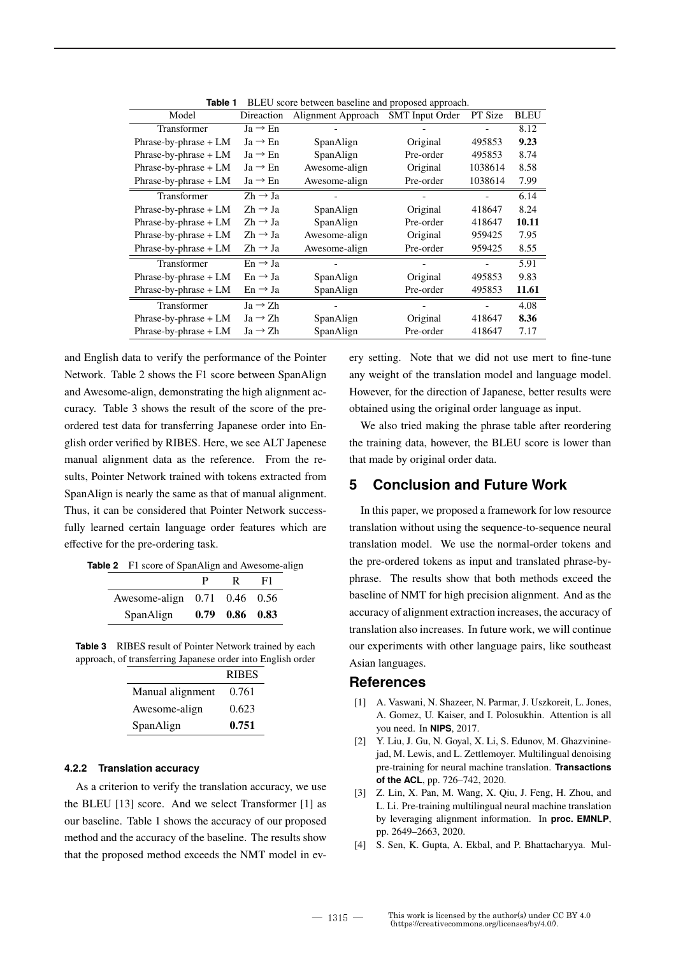| Model                   | Direaction          | Alignment Approach | . .<br><b>SMT</b> Input Order | PT Size | <b>BLEU</b> |
|-------------------------|---------------------|--------------------|-------------------------------|---------|-------------|
| Transformer             | $Ja \rightarrow En$ |                    |                               |         | 8.12        |
| Phrase-by-phrase $+ LM$ | $Ja \rightarrow En$ | SpanAlign          | Original                      | 495853  | 9.23        |
| Phrase-by-phrase $+ LM$ | $Ja \rightarrow En$ | SpanAlign          | Pre-order                     | 495853  | 8.74        |
| Phrase-by-phrase $+ LM$ | $Ja \rightarrow En$ | Awesome-align      | Original                      | 1038614 | 8.58        |
| Phrase-by-phrase $+ LM$ | $Ja \rightarrow En$ | Awesome-align      | Pre-order                     | 1038614 | 7.99        |
| Transformer             | $Zh \rightarrow Ja$ |                    |                               |         | 6.14        |
| Phrase-by-phrase $+ LM$ | $Zh \rightarrow Ja$ | SpanAlign          | Original                      | 418647  | 8.24        |
| Phrase-by-phrase $+ LM$ | $Zh \rightarrow Ja$ | SpanAlign          | Pre-order                     | 418647  | 10.11       |
| Phrase-by-phrase $+ LM$ | $Zh \rightarrow Ja$ | Awesome-align      | Original                      | 959425  | 7.95        |
| Phrase-by-phrase $+ LM$ | $Zh \rightarrow Ja$ | Awesome-align      | Pre-order                     | 959425  | 8.55        |
| Transformer             | $En \rightarrow Ja$ |                    |                               |         | 5.91        |
| Phrase-by-phrase $+ LM$ | $En \rightarrow Ja$ | SpanAlign          | Original                      | 495853  | 9.83        |
| Phrase-by-phrase $+ LM$ | $En \rightarrow Ja$ | SpanAlign          | Pre-order                     | 495853  | 11.61       |
| Transformer             | $Ja \rightarrow Zh$ |                    |                               |         | 4.08        |
| Phrase-by-phrase $+ LM$ | $Ja \rightarrow Zh$ | SpanAlign          | Original                      | 418647  | 8.36        |
| Phrase-by-phrase $+ LM$ | $Ja \rightarrow Zh$ | SpanAlign          | Pre-order                     | 418647  | 7.17        |

**Table 1** BLEU score between baseline and proposed approach.

and English data to verify the performance of the Pointer Network. Table 2 shows the F1 score between SpanAlign and Awesome-align, demonstrating the high alignment accuracy. Table 3 shows the result of the score of the preordered test data for transferring Japanese order into English order verified by RIBES. Here, we see ALT Japenese manual alignment data as the reference. From the results, Pointer Network trained with tokens extracted from SpanAlign is nearly the same as that of manual alignment. Thus, it can be considered that Pointer Network successfully learned certain language order features which are effective for the pre-ordering task.

| <b>Table 2</b> F1 score of SpanAlign and Awesome-align |
|--------------------------------------------------------|
|--------------------------------------------------------|

|                                    |                      | F1 |
|------------------------------------|----------------------|----|
| Awesome-align $0.71$ $0.46$ $0.56$ |                      |    |
| SpanAlign                          | $0.79$ $0.86$ $0.83$ |    |

**Table 3** RIBES result of Pointer Network trained by each approach, of transferring Japanese order into English order

|                  | <b>RIBES</b> |
|------------------|--------------|
| Manual alignment | 0.761        |
| Awesome-align    | 0.623        |
| SpanAlign        | 0.751        |

#### **4.2.2 Translation accuracy**

As a criterion to verify the translation accuracy, we use the BLEU [13] score. And we select Transformer [1] as our baseline. Table 1 shows the accuracy of our proposed method and the accuracy of the baseline. The results show that the proposed method exceeds the NMT model in every setting. Note that we did not use mert to fine-tune any weight of the translation model and language model. However, for the direction of Japanese, better results were obtained using the original order language as input.

We also tried making the phrase table after reordering the training data, however, the BLEU score is lower than that made by original order data.

## **5 Conclusion and Future Work**

In this paper, we proposed a framework for low resource translation without using the sequence-to-sequence neural translation model. We use the normal-order tokens and the pre-ordered tokens as input and translated phrase-byphrase. The results show that both methods exceed the baseline of NMT for high precision alignment. And as the accuracy of alignment extraction increases, the accuracy of translation also increases. In future work, we will continue our experiments with other language pairs, like southeast Asian languages.

### **References**

- [1] A. Vaswani, N. Shazeer, N. Parmar, J. Uszkoreit, L. Jones, A. Gomez, U. Kaiser, and I. Polosukhin. Attention is all you need. In **NIPS**, 2017.
- [2] Y. Liu, J. Gu, N. Goyal, X. Li, S. Edunov, M. Ghazvininejad, M. Lewis, and L. Zettlemoyer. Multilingual denoising pre-training for neural machine translation. **Transactions of the ACL**, pp. 726–742, 2020.
- [3] Z. Lin, X. Pan, M. Wang, X. Qiu, J. Feng, H. Zhou, and L. Li. Pre-training multilingual neural machine translation by leveraging alignment information. In **proc. EMNLP**, pp. 2649–2663, 2020.
- [4] S. Sen, K. Gupta, A. Ekbal, and P. Bhattacharyya. Mul-